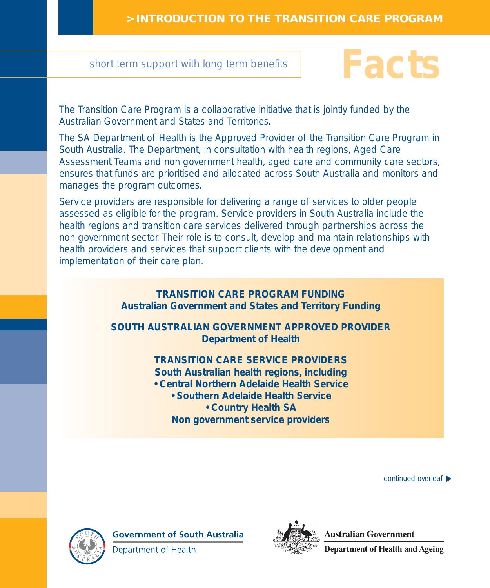short term support with long term benefits

## **Facts**

The Transition Care Program is a collaborative initiative that is jointly funded by the Australian Government and States and Territories.

The SA Department of Health is the Approved Provider of the Transition Care Program in South Australia. The Department, in consultation with health regions, Aged Care Assessment Teams and non government health, aged care and community care sectors, ensures that funds are prioritised and allocated across South Australia and monitors and manages the program outcomes.

Service providers are responsible for delivering a range of services to older people assessed as eligible for the program. Service providers in South Australia include the health regions and transition care services delivered through partnerships across the non government sector. Their role is to consult, develop and maintain relationships with health providers and services that support clients with the development and implementation of their care plan.

> **TRANSITION CARE PROGRAM FUNDING Australian Government and States and Territory Funding**

**SOUTH AUSTRALIAN GOVERNMENT APPROVED PROVIDER Department of Health**

## **TRANSITION CARE SERVICE PROVIDERS South Australian health regions, including • Central Northern Adelaide Health Service**

- - **Southern Adelaide Health Service • Country Health SA**

**Non government service providers**

continued overleaf ▶



**Government of South Australia** Department of Health



**Australian Government** 

**Department of Health and Ageing**